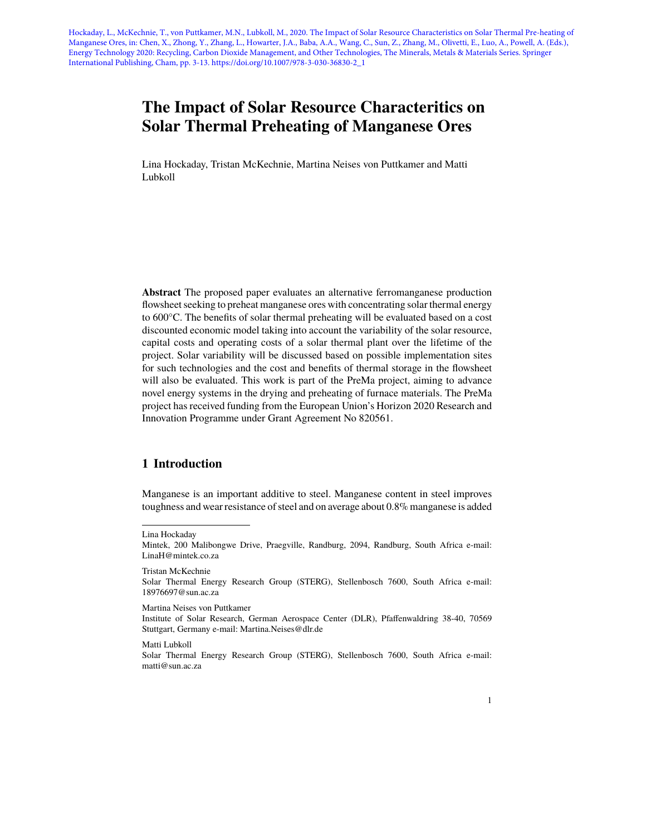Hockaday, L., McKechnie, T., von Puttkamer, M.N., Lubkoll, M., 2020. The Impact of Solar Resource Characteristics on Solar Thermal Pre-heating of Manganese Ores, in: Chen, X., Zhong, Y., Zhang, L., Howarter, J.A., Baba, A.A., Wang, C., Sun, Z., Zhang, M., Olivetti, E., Luo, A., Powell, A. (Eds.), Energy Technology 2020: Recycling, Carbon Dioxide Management, and Other Technologies, The Minerals, Metals & Materials Series. Springer International Publishing, Cham, pp. 3-13. https://doi.org/10.1007/978-3-030-36830-2\_1

# **The Impact of Solar Resource Characteritics on Solar Thermal Preheating of Manganese Ores**

Lina Hockaday, Tristan McKechnie, Martina Neises von Puttkamer and Matti Lubkoll

**Abstract** The proposed paper evaluates an alternative ferromanganese production flowsheet seeking to preheat manganese ores with concentrating solar thermal energy to 600°C. The benefits of solar thermal preheating will be evaluated based on a cost discounted economic model taking into account the variability of the solar resource, capital costs and operating costs of a solar thermal plant over the lifetime of the project. Solar variability will be discussed based on possible implementation sites for such technologies and the cost and benefits of thermal storage in the flowsheet will also be evaluated. This work is part of the PreMa project, aiming to advance novel energy systems in the drying and preheating of furnace materials. The PreMa project has received funding from the European Union's Horizon 2020 Research and Innovation Programme under Grant Agreement No 820561.

## **1 Introduction**

Manganese is an important additive to steel. Manganese content in steel improves toughness and wear resistance of steel and on average about 0.8% manganese is added

Tristan McKechnie

Martina Neises von Puttkamer

Matti Lubkoll

Lina Hockaday

Mintek, 200 Malibongwe Drive, Praegville, Randburg, 2094, Randburg, South Africa e-mail: <LinaH@mintek.co.za>

Solar Thermal Energy Research Group (STERG), Stellenbosch 7600, South Africa e-mail: [18976697@sun.ac.za](18976697@sun.ac.za )

Institute of Solar Research, German Aerospace Center (DLR), Pfaffenwaldring 38-40, 70569 Stuttgart, Germany e-mail:<Martina.Neises@dlr.de>

Solar Thermal Energy Research Group (STERG), Stellenbosch 7600, South Africa e-mail: <matti@sun.ac.za>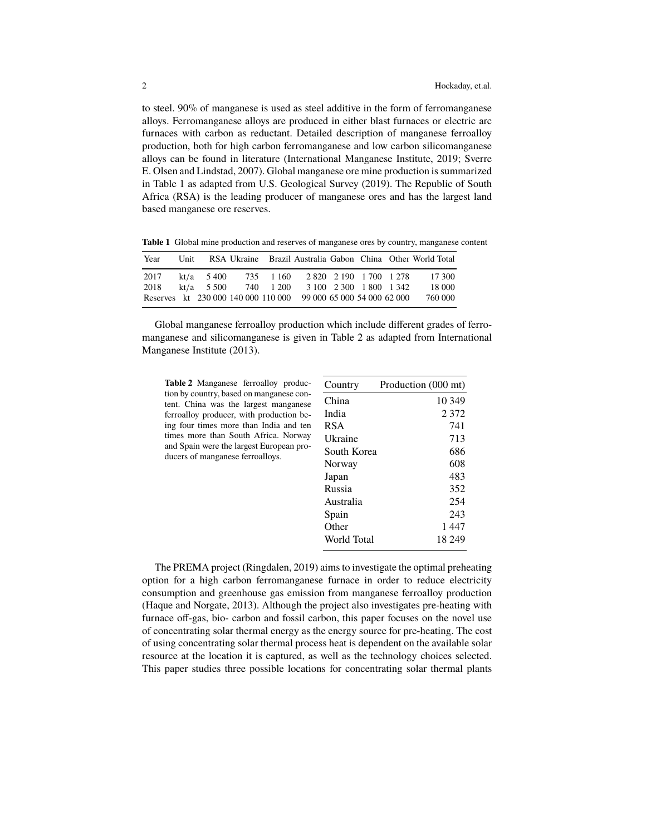to steel. 90% of manganese is used as steel additive in the form of ferromanganese alloys. Ferromanganese alloys are produced in either blast furnaces or electric arc furnaces with carbon as reductant. Detailed description of manganese ferroalloy production, both for high carbon ferromanganese and low carbon silicomanganese alloys can be found in literature [\(International Manganese Institute,](#page-9-0) [2019;](#page-9-0) [Sverre](#page-10-0) [E. Olsen and Lindstad,](#page-10-0) [2007\)](#page-10-0). Global manganese ore mine production is summarized in Table [1](#page-1-0) as adapted from [U.S. Geological Survey](#page-10-1) [\(2019\)](#page-10-1). The Republic of South Africa (RSA) is the leading producer of manganese ores and has the largest land based manganese ore reserves.

<span id="page-1-0"></span>**Table 1** Global mine production and reserves of manganese ores by country, manganese content

| Year                                                            |                                          |          |                         |                         |  | Unit RSA Ukraine Brazil Australia Gabon China Other World Total |
|-----------------------------------------------------------------|------------------------------------------|----------|-------------------------|-------------------------|--|-----------------------------------------------------------------|
| 2017<br>2018                                                    | $kt/a = 5400$<br>kt/a $5\,500$ 740 1 200 | 735 1160 | 2 820 2 190 1 700 1 278 | 3 100 2 300 1 800 1 342 |  | 17.300<br>18 000                                                |
| Reserves kt 230 000 140 000 110 000 99 000 65 000 54 000 62 000 |                                          |          |                         |                         |  | 760 000                                                         |

Global manganese ferroalloy production which include different grades of ferromanganese and silicomanganese is given in Table [2](#page-1-1) as adapted from [International](#page-9-1) [Manganese Institute](#page-9-1) [\(2013\)](#page-9-1).

<span id="page-1-1"></span>**Table 2** Manganese ferroalloy production by country, based on manganese content. China was the largest manganese ferroalloy producer, with production being four times more than India and ten times more than South Africa. Norway and Spain were the largest European producers of manganese ferroalloys.

| Country     | Production (000 mt) |
|-------------|---------------------|
| China       | 10 349              |
| India       | 2 3 7 2             |
| RSA         | 741                 |
| Ukraine     | 713                 |
| South Korea | 686                 |
| Norway      | 608                 |
| Japan       | 483                 |
| Russia      | 352                 |
| Australia   | 254                 |
| Spain       | 243                 |
| Other       | 1447                |
| World Total | 18 249              |

The PREMA project [\(Ringdalen,](#page-9-2) [2019\)](#page-9-2) aims to investigate the optimal preheating option for a high carbon ferromanganese furnace in order to reduce electricity consumption and greenhouse gas emission from manganese ferroalloy production [\(Haque and Norgate,](#page-9-3) [2013\)](#page-9-3). Although the project also investigates pre-heating with furnace off-gas, bio- carbon and fossil carbon, this paper focuses on the novel use of concentrating solar thermal energy as the energy source for pre-heating. The cost of using concentrating solar thermal process heat is dependent on the available solar resource at the location it is captured, as well as the technology choices selected. This paper studies three possible locations for concentrating solar thermal plants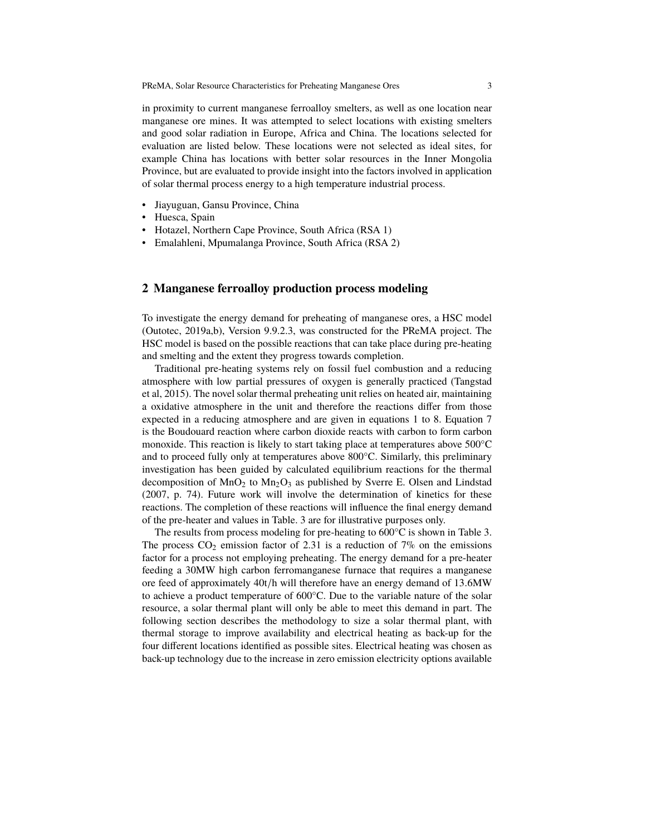in proximity to current manganese ferroalloy smelters, as well as one location near manganese ore mines. It was attempted to select locations with existing smelters and good solar radiation in Europe, Africa and China. The locations selected for evaluation are listed below. These locations were not selected as ideal sites, for example China has locations with better solar resources in the Inner Mongolia Province, but are evaluated to provide insight into the factors involved in application of solar thermal process energy to a high temperature industrial process.

- Jiayuguan, Gansu Province, China
- Huesca, Spain
- Hotazel, Northern Cape Province, South Africa (RSA 1)
- Emalahleni, Mpumalanga Province, South Africa (RSA 2)

## <span id="page-2-0"></span>**2 Manganese ferroalloy production process modeling**

To investigate the energy demand for preheating of manganese ores, a HSC model [\(Outotec,](#page-9-4) [2019a](#page-9-4)[,b\)](#page-9-5), Version 9.9.2.3, was constructed for the PReMA project. The HSC model is based on the possible reactions that can take place during pre-heating and smelting and the extent they progress towards completion.

Traditional pre-heating systems rely on fossil fuel combustion and a reducing atmosphere with low partial pressures of oxygen is generally practiced [\(Tangstad](#page-10-2) [et al,](#page-10-2) [2015\)](#page-10-2). The novel solar thermal preheating unit relies on heated air, maintaining a oxidative atmosphere in the unit and therefore the reactions differ from those expected in a reducing atmosphere and are given in equations [1](#page-3-0) to [8.](#page-3-1) Equation [7](#page-3-2) is the Boudouard reaction where carbon dioxide reacts with carbon to form carbon monoxide. This reaction is likely to start taking place at temperatures above 500°C and to proceed fully only at temperatures above 800°C. Similarly, this preliminary investigation has been guided by calculated equilibrium reactions for the thermal decomposition of  $MnO<sub>2</sub>$  to  $Mn<sub>2</sub>O<sub>3</sub>$  as published by [Sverre E. Olsen and Lindstad](#page-10-0) [\(2007,](#page-10-0) p. 74). Future work will involve the determination of kinetics for these reactions. The completion of these reactions will influence the final energy demand of the pre-heater and values in Table. [3](#page-3-3) are for illustrative purposes only.

The results from process modeling for pre-heating to 600°C is shown in Table [3.](#page-3-3) The process  $CO_2$  emission factor of 2.31 is a reduction of 7% on the emissions factor for a process not employing preheating. The energy demand for a pre-heater feeding a 30MW high carbon ferromanganese furnace that requires a manganese ore feed of approximately 40t/<sup>h</sup> will therefore have an energy demand of <sup>13</sup>.6MW to achieve a product temperature of 600°C. Due to the variable nature of the solar resource, a solar thermal plant will only be able to meet this demand in part. The following section describes the methodology to size a solar thermal plant, with thermal storage to improve availability and electrical heating as back-up for the four different locations identified as possible sites. Electrical heating was chosen as back-up technology due to the increase in zero emission electricity options available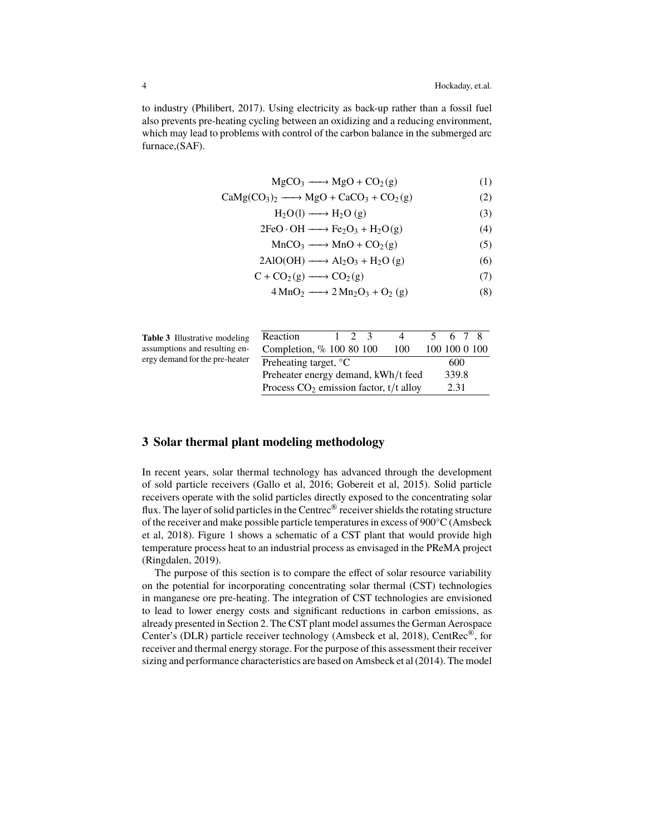to industry [\(Philibert,](#page-9-6) [2017\)](#page-9-6). Using electricity as back-up rather than a fossil fuel also prevents pre-heating cycling between an oxidizing and a reducing environment, which may lead to problems with control of the carbon balance in the submerged arc furnace,(SAF).

<span id="page-3-0"></span>
$$
MgCO_3 \longrightarrow MgO + CO_2(g)
$$
 (1)

$$
CaMg(CO3)2 \longrightarrow MgO + CaCO3 + CO2(g)
$$
 (2)

$$
H_2O(l) \longrightarrow H_2O(g)
$$
 (3)

$$
2FeO \cdot OH \longrightarrow Fe_2O_3 + H_2O(g) \tag{4}
$$

$$
MnCO_3 \longrightarrow MnO + CO_2(g) \tag{5}
$$

$$
2\text{AlO(OH)} \longrightarrow \text{Al}_2\text{O}_3 + \text{H}_2\text{O} \text{ (g)} \tag{6}
$$

$$
C + CO2(g) \longrightarrow CO2(g)
$$
 (7)

<span id="page-3-2"></span><span id="page-3-1"></span>
$$
4 \text{MnO}_2 \longrightarrow 2 \text{Mn}_2\text{O}_3 + \text{O}_2(g) \tag{8}
$$

<span id="page-3-3"></span>

| <b>Table 3</b> Illustrative modeling |
|--------------------------------------|
| assumptions and resulting en-        |
| ergy demand for the pre-heater       |

| ng  | Reaction                                 | 67            |
|-----|------------------------------------------|---------------|
| m-  | Completion, % 100 80 100<br>100          | 100 100 0 100 |
| ter | Preheating target, $\mathrm{C}$          | 600           |
|     | Preheater energy demand, kWh/t feed      | 339.8         |
|     | Process $CO2$ emission factor, t/t alloy | 2.31          |

# **3 Solar thermal plant modeling methodology**

In recent years, solar thermal technology has advanced through the development of sold particle receivers [\(Gallo et al,](#page-9-7) [2016;](#page-9-7) [Gobereit et al,](#page-9-8) [2015\)](#page-9-8). Solid particle receivers operate with the solid particles directly exposed to the concentrating solar flux. The layer of solid particles in the Centrec<sup>®</sup> receiver shields the rotating structure of the receiver and make possible particle temperatures in excess of 900°C [\(Amsbeck](#page-8-0) [et al,](#page-8-0) [2018\)](#page-8-0). Figure [1](#page-4-0) shows a schematic of a CST plant that would provide high temperature process heat to an industrial process as envisaged in the PReMA project [\(Ringdalen,](#page-9-2) [2019\)](#page-9-2).

The purpose of this section is to compare the effect of solar resource variability on the potential for incorporating concentrating solar thermal (CST) technologies in manganese ore pre-heating. The integration of CST technologies are envisioned to lead to lower energy costs and significant reductions in carbon emissions, as already presented in Section [2.](#page-2-0) The CST plant model assumes the German Aerospace Center's (DLR) particle receiver technology [\(Amsbeck et al,](#page-8-0) [2018\)](#page-8-0), CentRec®, for receiver and thermal energy storage. For the purpose of this assessment their receiver sizing and performance characteristics are based on [Amsbeck et al](#page-8-1) [\(2014\)](#page-8-1). The model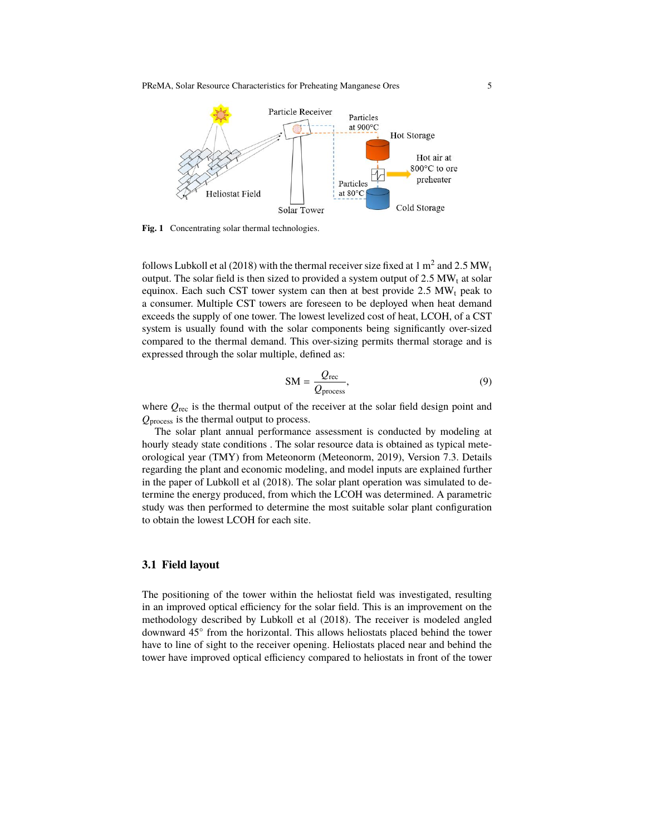PReMA, Solar Resource Characteristics for Preheating Manganese Ores 5



<span id="page-4-0"></span>Fig. 1 Concentrating solar thermal technologies.

follows [Lubkoll et al](#page-9-9) [\(2018\)](#page-9-9) with the thermal receiver size fixed at  $1 \text{ m}^2$  and  $2.5 \text{ MW}$ , the solar field is then sized to provided a system output of  $2.5 \text{ MW}$ , at solar output. The solar field is then sized to provided a system output of  $2.5 \text{ MW}$ <sub>t</sub> at solar equinox. Each such CST tower system can then at best provide  $2.5$  MW<sub>t</sub> peak to a consumer. Multiple CST towers are foreseen to be deployed when heat demand exceeds the supply of one tower. The lowest levelized cost of heat, LCOH, of a CST system is usually found with the solar components being significantly over-sized compared to the thermal demand. This over-sizing permits thermal storage and is expressed through the solar multiple, defined as:

$$
SM = \frac{Q_{\text{rec}}}{Q_{\text{process}}},\tag{9}
$$

where  $Q_{\text{rec}}$  is the thermal output of the receiver at the solar field design point and *Q*process is the thermal output to process.

The solar plant annual performance assessment is conducted by modeling at hourly steady state conditions . The solar resource data is obtained as typical meteorological year (TMY) from Meteonorm [\(Meteonorm,](#page-9-10) [2019\)](#page-9-10), Version 7.3. Details regarding the plant and economic modeling, and model inputs are explained further in the paper of [Lubkoll et al](#page-9-9) [\(2018\)](#page-9-9). The solar plant operation was simulated to determine the energy produced, from which the LCOH was determined. A parametric study was then performed to determine the most suitable solar plant configuration to obtain the lowest LCOH for each site.

#### **3.1 Field layout**

The positioning of the tower within the heliostat field was investigated, resulting in an improved optical efficiency for the solar field. This is an improvement on the methodology described by [Lubkoll et al](#page-9-9) [\(2018\)](#page-9-9). The receiver is modeled angled downward 45◦ from the horizontal. This allows heliostats placed behind the tower have to line of sight to the receiver opening. Heliostats placed near and behind the tower have improved optical efficiency compared to heliostats in front of the tower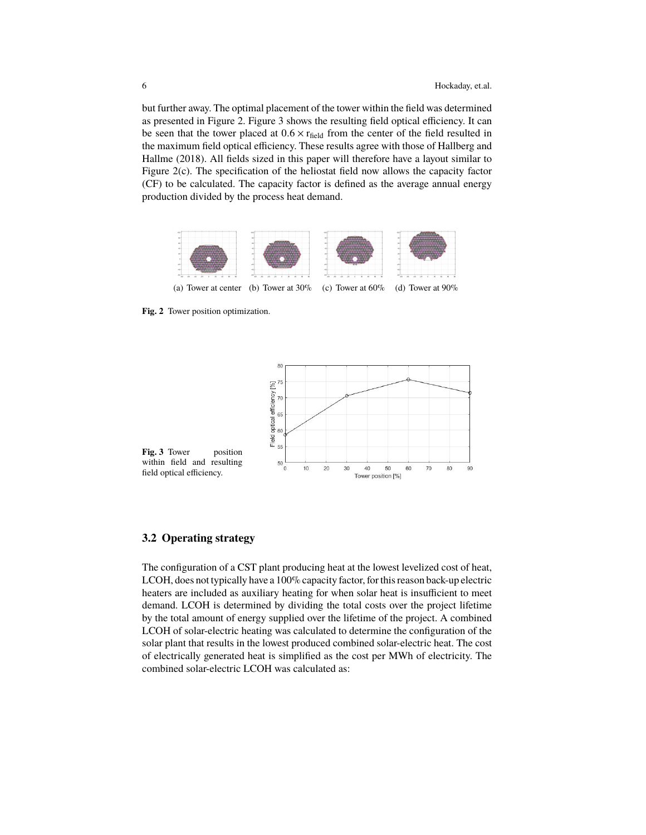but further away. The optimal placement of the tower within the field was determined as presented in Figure [2.](#page-5-0) Figure [3](#page-5-1) shows the resulting field optical efficiency. It can be seen that the tower placed at  $0.6 \times r_{field}$  from the center of the field resulted in the maximum field optical efficiency. These results agree with those of [Hallberg and](#page-9-11) [Hallme](#page-9-11) [\(2018\)](#page-9-11). All fields sized in this paper will therefore have a layout similar to Figure [2\(c\).](#page-5-2) The specification of the heliostat field now allows the capacity factor (CF) to be calculated. The capacity factor is defined as the average annual energy production divided by the process heat demand.

<span id="page-5-2"></span>

<span id="page-5-0"></span>**Fig. 2** Tower position optimization.

<span id="page-5-1"></span>

#### **3.2 Operating strategy**

The configuration of a CST plant producing heat at the lowest levelized cost of heat, LCOH, does not typically have a 100% capacity factor, for this reason back-up electric heaters are included as auxiliary heating for when solar heat is insufficient to meet demand. LCOH is determined by dividing the total costs over the project lifetime by the total amount of energy supplied over the lifetime of the project. A combined LCOH of solar-electric heating was calculated to determine the configuration of the solar plant that results in the lowest produced combined solar-electric heat. The cost of electrically generated heat is simplified as the cost per MWh of electricity. The combined solar-electric LCOH was calculated as: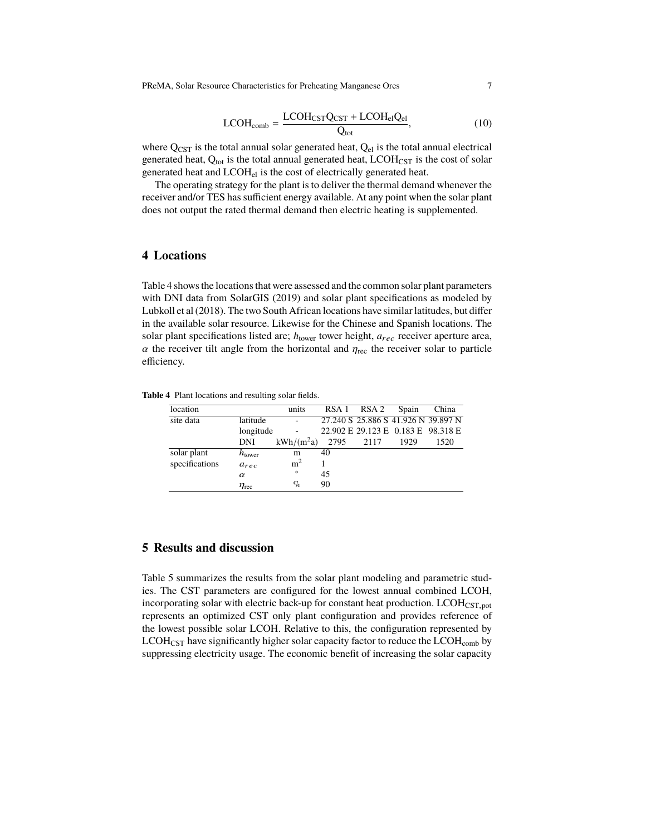PReMA, Solar Resource Characteristics for Preheating Manganese Ores 7

$$
LCOH_{comb} = \frac{LCOH_{CST}Q_{CST} + LCOH_{el}Q_{el}}{Q_{tot}},
$$
\n(10)

where  $Q_{\text{CST}}$  is the total annual solar generated heat,  $Q_{el}$  is the total annual electrical generated heat,  $Q_{\text{tot}}$  is the total annual generated heat,  $LCDH_{\text{CST}}$  is the cost of solar generated heat and LCOHel is the cost of electrically generated heat.

The operating strategy for the plant is to deliver the thermal demand whenever the receiver and/or TES has sufficient energy available. At any point when the solar plant does not output the rated thermal demand then electric heating is supplemented.

# **4 Locations**

Table [4](#page-6-0) shows the locations that were assessed and the common solar plant parameters with DNI data from [SolarGIS](#page-9-12) [\(2019\)](#page-9-12) and solar plant specifications as modeled by Lubkoll et al (2018). The two South African locations have similar latitudes, but differ in the available solar resource. Likewise for the Chinese and Spanish locations. The solar plant specifications listed are;  $h_{\text{lower}}$  tower height,  $a_{rec}$  receiver aperture area,  $\alpha$  the receiver tilt angle from the horizontal and  $\eta_{\text{rec}}$  the receiver solar to particle efficiency.

**Table 4** Plant locations and resulting solar fields.

<span id="page-6-0"></span>

| location       |                     | units          | RSA 1 | RSA <sub>2</sub> | Spain                               | China |
|----------------|---------------------|----------------|-------|------------------|-------------------------------------|-------|
| site data      | latitude            |                |       |                  | 27.240 S 25.886 S 41.926 N 39.897 N |       |
|                | longitude           |                |       |                  | 22.902 E 29.123 E 0.183 E 98.318 E  |       |
|                | <b>DNI</b>          | $kWh/(m^2a)$   | 2795  | 2117             | 1929                                | 1520  |
| solar plant    | $h_{\text{lower}}$  | m              | 40    |                  |                                     |       |
| specifications | $a_{rec}$           | m <sup>2</sup> |       |                  |                                     |       |
|                | $\alpha$            | $\circ$        | 45    |                  |                                     |       |
|                | $\eta_{\text{rec}}$ | $\%$           | 90    |                  |                                     |       |
|                |                     |                |       |                  |                                     |       |

# **5 Results and discussion**

Table [5](#page-7-0) summarizes the results from the solar plant modeling and parametric studies. The CST parameters are configured for the lowest annual combined LCOH, incorporating solar with electric back-up for constant heat production.  $LCDH_{CST,pot}$ represents an optimized CST only plant configuration and provides reference of the lowest possible solar LCOH. Relative to this, the configuration represented by  $LCDH_{CST}$  have significantly higher solar capacity factor to reduce the  $LCDH_{comb}$  by suppressing electricity usage. The economic benefit of increasing the solar capacity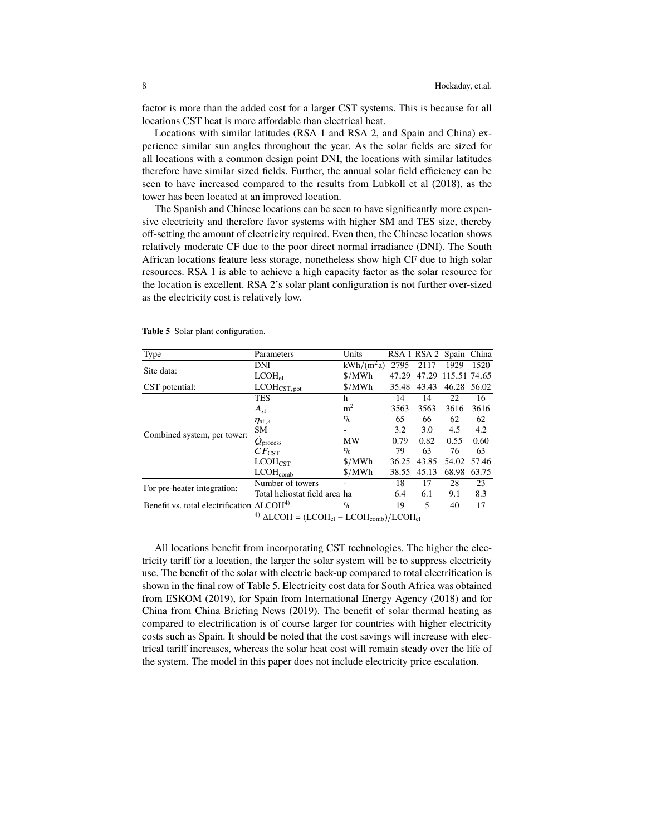factor is more than the added cost for a larger CST systems. This is because for all locations CST heat is more affordable than electrical heat.

Locations with similar latitudes (RSA 1 and RSA 2, and Spain and China) experience similar sun angles throughout the year. As the solar fields are sized for all locations with a common design point DNI, the locations with similar latitudes therefore have similar sized fields. Further, the annual solar field efficiency can be seen to have increased compared to the results from [Lubkoll et al](#page-9-9) [\(2018\)](#page-9-9), as the tower has been located at an improved location.

The Spanish and Chinese locations can be seen to have significantly more expensive electricity and therefore favor systems with higher SM and TES size, thereby off-setting the amount of electricity required. Even then, the Chinese location shows relatively moderate CF due to the poor direct normal irradiance (DNI). The South African locations feature less storage, nonetheless show high CF due to high solar resources. RSA 1 is able to achieve a high capacity factor as the solar resource for the location is excellent. RSA 2's solar plant configuration is not further over-sized as the electricity cost is relatively low.

| Type                                                   | Parameters                                                   | Units                     |                     | RSA 1 RSA 2 Spain |              | China |
|--------------------------------------------------------|--------------------------------------------------------------|---------------------------|---------------------|-------------------|--------------|-------|
|                                                        | DNI                                                          | $kWh/(m^2a)$              | 2795                | 2117              | 1929         | 1520  |
| Site data:                                             | $LCDH_{el}$                                                  | \$/MWh                    | 47.29               | 47.29             | 115.51 74.65 |       |
| CST potential:                                         | $\overline{\text{LCOH}}_{\text{CST},\text{pot}}$             | \$/MWh                    | 35.48               | 43.43             | 46.28        | 56.02 |
|                                                        | <b>TES</b>                                                   | h                         | 14                  | 14                | 22           | 16    |
|                                                        | $A_{sf}$                                                     | m <sup>2</sup>            | 3563                | 3563              | 3616         | 3616  |
|                                                        | $\eta_{\rm sf,a}$                                            | $\%$                      | 65                  | 66                | 62           | 62    |
| Combined system, per tower:                            | <b>SM</b>                                                    |                           | 3.2                 | 3.0               | 4.5          | 4.2   |
|                                                        | $Q_{\text{process}}$                                         | <b>MW</b>                 | 0.79                | 0.82              | 0.55         | 0.60  |
|                                                        | $CF_{\rm CST}$                                               | $\%$                      | 79                  | 63                | 76           | 63    |
|                                                        | LCDH <sub>CST</sub>                                          | \$/MWh                    | 36.25               | 43.85             | 54.02        | 57.46 |
|                                                        | $LCDH_{comb}$                                                | \$/MWh                    | 38.55               | 45.13             | 68.98        | 63.75 |
|                                                        | Number of towers                                             |                           | 18                  | 17                | 28           | 23    |
| For pre-heater integration:                            | Total heliostat field area ha                                |                           | 6.4                 | 6.1               | 9.1          | 8.3   |
| Benefit vs. total electrification $\triangle LCOH^{4}$ |                                                              | $\%$                      | 19                  | 5                 | 40           | 17    |
|                                                        | $\Lambda$ $\Lambda$ $\Lambda$ $\Lambda$<br>$(T \cap \cap T)$ | $T$ $\cap$ $\cap$ $T$ $T$ | $\sqrt{1}$ $\alpha$ |                   |              |       |

<span id="page-7-0"></span>**Table 5** Solar plant configuration.

<sup>4)</sup>  $\Delta$ LCOH = (LCOH<sub>el</sub> – LCOH<sub>comb</sub>)/LCOH<sub>el</sub>

All locations benefit from incorporating CST technologies. The higher the electricity tariff for a location, the larger the solar system will be to suppress electricity use. The benefit of the solar with electric back-up compared to total electrification is shown in the final row of Table [5.](#page-7-0) Electricity cost data for South Africa was obtained from [ESKOM](#page-9-13) [\(2019\)](#page-9-13), for Spain from [International Energy Agency](#page-9-14) [\(2018\)](#page-9-14) and for China from [China Briefing News](#page-9-15) [\(2019\)](#page-9-15). The benefit of solar thermal heating as compared to electrification is of course larger for countries with higher electricity costs such as Spain. It should be noted that the cost savings will increase with electrical tariff increases, whereas the solar heat cost will remain steady over the life of the system. The model in this paper does not include electricity price escalation.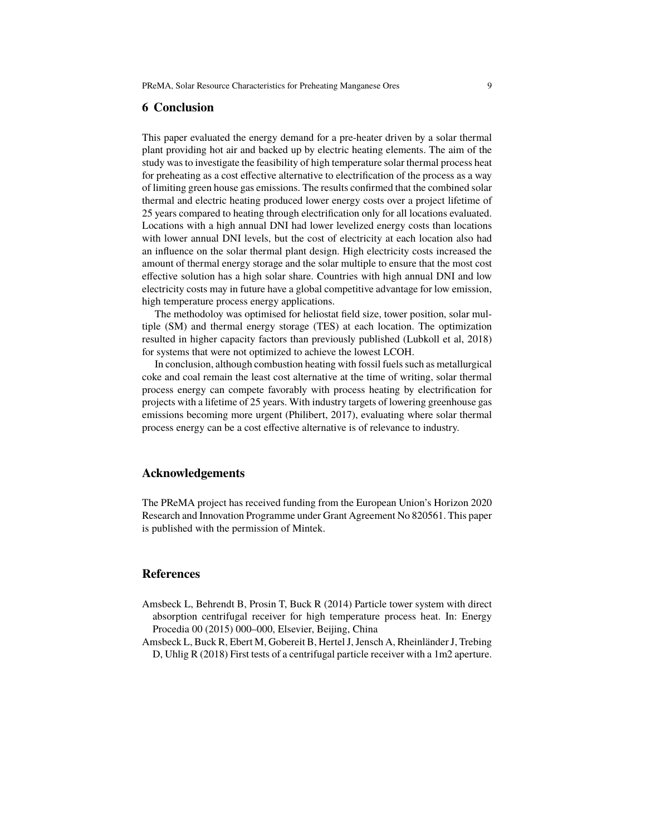## **6 Conclusion**

This paper evaluated the energy demand for a pre-heater driven by a solar thermal plant providing hot air and backed up by electric heating elements. The aim of the study was to investigate the feasibility of high temperature solar thermal process heat for preheating as a cost effective alternative to electrification of the process as a way of limiting green house gas emissions. The results confirmed that the combined solar thermal and electric heating produced lower energy costs over a project lifetime of 25 years compared to heating through electrification only for all locations evaluated. Locations with a high annual DNI had lower levelized energy costs than locations with lower annual DNI levels, but the cost of electricity at each location also had an influence on the solar thermal plant design. High electricity costs increased the amount of thermal energy storage and the solar multiple to ensure that the most cost effective solution has a high solar share. Countries with high annual DNI and low electricity costs may in future have a global competitive advantage for low emission, high temperature process energy applications.

The methodoloy was optimised for heliostat field size, tower position, solar multiple (SM) and thermal energy storage (TES) at each location. The optimization resulted in higher capacity factors than previously published [\(Lubkoll et al,](#page-9-9) [2018\)](#page-9-9) for systems that were not optimized to achieve the lowest LCOH.

In conclusion, although combustion heating with fossil fuels such as metallurgical coke and coal remain the least cost alternative at the time of writing, solar thermal process energy can compete favorably with process heating by electrification for projects with a lifetime of 25 years. With industry targets of lowering greenhouse gas emissions becoming more urgent [\(Philibert,](#page-9-6) [2017\)](#page-9-6), evaluating where solar thermal process energy can be a cost effective alternative is of relevance to industry.

#### **Acknowledgements**

The PReMA project has received funding from the European Union's Horizon 2020 Research and Innovation Programme under Grant Agreement No 820561. This paper is published with the permission of Mintek.

### **References**

- <span id="page-8-1"></span>Amsbeck L, Behrendt B, Prosin T, Buck R (2014) Particle tower system with direct absorption centrifugal receiver for high temperature process heat. In: Energy Procedia 00 (2015) 000–000, Elsevier, Beijing, China
- <span id="page-8-0"></span>Amsbeck L, Buck R, Ebert M, Gobereit B, Hertel J, Jensch A, Rheinländer J, Trebing D, Uhlig R (2018) First tests of a centrifugal particle receiver with a 1m2 aperture.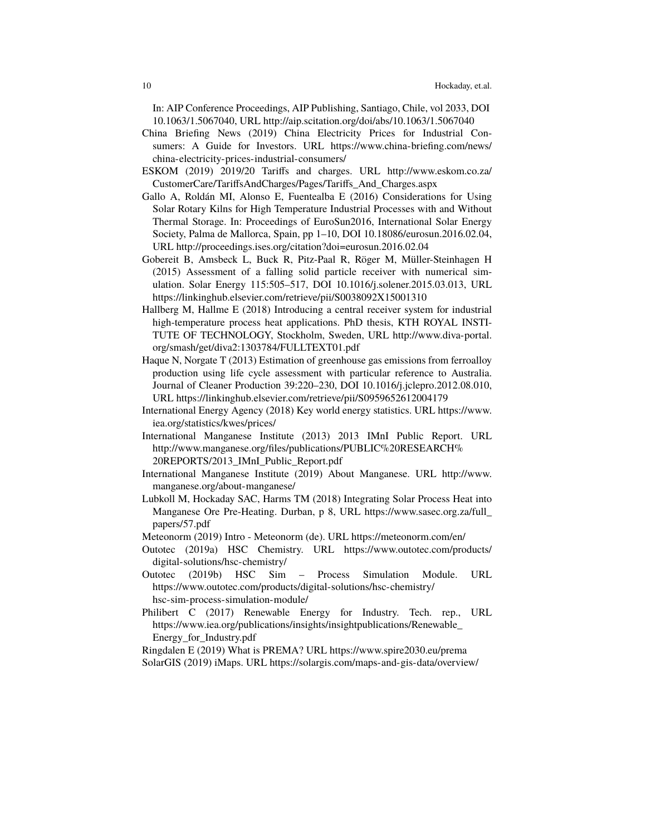In: AIP Conference Proceedings, AIP Publishing, Santiago, Chile, vol 2033, DOI 10.1063/1.5067040, URL <http://aip.scitation.org/doi/abs/10.1063/1.5067040>

- <span id="page-9-15"></span>China Briefing News (2019) China Electricity Prices for Industrial Consumers: A Guide for Investors. URL [https://www.china-briefing.com/news/](https://www.china-briefing.com/news/china-electricity-prices-industrial-consumers/) [china-electricity-prices-industrial-consumers/](https://www.china-briefing.com/news/china-electricity-prices-industrial-consumers/)
- <span id="page-9-13"></span>ESKOM (2019) 2019/20 Tariffs and charges. URL [http://www.eskom.co.za/](http://www.eskom.co.za/CustomerCare/TariffsAndCharges/Pages/Tariffs_And_Charges.aspx) [CustomerCare/TariffsAndCharges/Pages/Tariffs\\_And\\_Charges.aspx](http://www.eskom.co.za/CustomerCare/TariffsAndCharges/Pages/Tariffs_And_Charges.aspx)
- <span id="page-9-7"></span>Gallo A, Roldán MI, Alonso E, Fuentealba E (2016) Considerations for Using Solar Rotary Kilns for High Temperature Industrial Processes with and Without Thermal Storage. In: Proceedings of EuroSun2016, International Solar Energy Society, Palma de Mallorca, Spain, pp 1–10, DOI 10.18086/eurosun.2016.02.04, URL <http://proceedings.ises.org/citation?doi=eurosun.2016.02.04>
- <span id="page-9-8"></span>Gobereit B, Amsbeck L, Buck R, Pitz-Paal R, Röger M, Müller-Steinhagen H (2015) Assessment of a falling solid particle receiver with numerical simulation. Solar Energy 115:505–517, DOI 10.1016/j.solener.2015.03.013, URL <https://linkinghub.elsevier.com/retrieve/pii/S0038092X15001310>
- <span id="page-9-11"></span>Hallberg M, Hallme E (2018) Introducing a central receiver system for industrial high-temperature process heat applications. PhD thesis, KTH ROYAL INSTI-TUTE OF TECHNOLOGY, Stockholm, Sweden, URL [http://www.diva-portal.](http://www.diva-portal.org/smash/get/diva2:1303784/FULLTEXT01.pdf) [org/smash/get/diva2:1303784/FULLTEXT01.pdf](http://www.diva-portal.org/smash/get/diva2:1303784/FULLTEXT01.pdf)
- <span id="page-9-3"></span>Haque N, Norgate T (2013) Estimation of greenhouse gas emissions from ferroalloy production using life cycle assessment with particular reference to Australia. Journal of Cleaner Production 39:220–230, DOI 10.1016/j.jclepro.2012.08.010, URL <https://linkinghub.elsevier.com/retrieve/pii/S0959652612004179>
- <span id="page-9-14"></span>International Energy Agency (2018) Key world energy statistics. URL [https://www.](https://www.iea.org/statistics/kwes/prices/) [iea.org/statistics/kwes/prices/](https://www.iea.org/statistics/kwes/prices/)
- <span id="page-9-1"></span>International Manganese Institute (2013) 2013 IMnI Public Report. URL [http://www.manganese.org/files/publications/PUBLIC%20RESEARCH%](http://www.manganese.org/files/publications/PUBLIC%20RESEARCH%20REPORTS/2013_IMnI_Public_Report.pdf) [20REPORTS/2013\\_IMnI\\_Public\\_Report.pdf](http://www.manganese.org/files/publications/PUBLIC%20RESEARCH%20REPORTS/2013_IMnI_Public_Report.pdf)
- <span id="page-9-0"></span>International Manganese Institute (2019) About Manganese. URL [http://www.](http://www.manganese.org/about-manganese/) [manganese.org/about-manganese/](http://www.manganese.org/about-manganese/)
- <span id="page-9-9"></span>Lubkoll M, Hockaday SAC, Harms TM (2018) Integrating Solar Process Heat into Manganese Ore Pre-Heating. Durban, p 8, URL [https://www.sasec.org.za/full\\_](https://www.sasec.org.za/full_papers/57.pdf) [papers/57.pdf](https://www.sasec.org.za/full_papers/57.pdf)
- <span id="page-9-10"></span>Meteonorm (2019) Intro - Meteonorm (de). URL <https://meteonorm.com/en/>
- <span id="page-9-4"></span>Outotec (2019a) HSC Chemistry. URL [https://www.outotec.com/products/](https://www.outotec.com/products/digital-solutions/hsc-chemistry/) [digital-solutions/hsc-chemistry/](https://www.outotec.com/products/digital-solutions/hsc-chemistry/)
- <span id="page-9-5"></span>Outotec (2019b) HSC Sim – Process Simulation Module. URL [https://www.outotec.com/products/digital-solutions/hsc-chemistry/](https://www.outotec.com/products/digital-solutions/hsc-chemistry/hsc-sim-process-simulation-module/) [hsc-sim-process-simulation-module/](https://www.outotec.com/products/digital-solutions/hsc-chemistry/hsc-sim-process-simulation-module/)
- <span id="page-9-6"></span>Philibert C (2017) Renewable Energy for Industry. Tech. rep., URL [https://www.iea.org/publications/insights/insightpublications/Renewable\\_](https://www.iea.org/publications/insights/insightpublications/Renewable_Energy_for_Industry.pdf) [Energy\\_for\\_Industry.pdf](https://www.iea.org/publications/insights/insightpublications/Renewable_Energy_for_Industry.pdf)

<span id="page-9-12"></span><span id="page-9-2"></span>Ringdalen E (2019) What is PREMA? URL <https://www.spire2030.eu/prema> SolarGIS (2019) iMaps. URL <https://solargis.com/maps-and-gis-data/overview/>